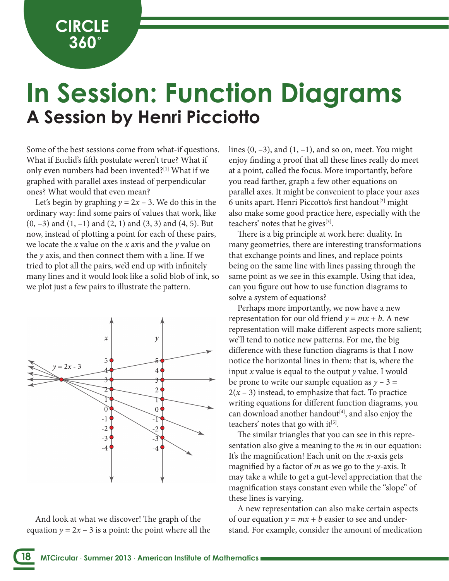**CIRCLE 360˚**

## **A Session by Henri Picciotto In Session: Function Diagrams**

Some of the best sessions come from what-if questions. What if Euclid's fifth postulate weren't true? What if only even numbers had been invented?[1] What if we graphed with parallel axes instead of perpendicular ones? What would that even mean?

Let's begin by graphing  $y = 2x - 3$ . We do this in the ordinary way: find some pairs of values that work, like  $(0, -3)$  and  $(1, -1)$  and  $(2, 1)$  and  $(3, 3)$  and  $(4, 5)$ . But now, instead of plotting a point for each of these pairs, we locate the *x* value on the *x* axis and the *y* value on the *y* axis, and then connect them with a line. If we tried to plot all the pairs, we'd end up with infinitely many lines and it would look like a solid blob of ink, so we plot just a few pairs to illustrate the pattern.



And look at what we discover! The graph of the equation  $y = 2x - 3$  is a point: the point where all the lines  $(0, -3)$ , and  $(1, -1)$ , and so on, meet. You might enjoy finding a proof that all these lines really do meet at a point, called the focus. More importantly, before you read farther, graph a few other equations on parallel axes. It might be convenient to place your axes 6 units apart. Henri Piccotto's first handout<sup>[2]</sup> might also make some good practice here, especially with the teachers' notes that he gives $^{[3]}$ .

There is a big principle at work here: duality. In many geometries, there are interesting transformations that exchange points and lines, and replace points being on the same line with lines passing through the same point as we see in this example. Using that idea, can you figure out how to use function diagrams to solve a system of equations?

Perhaps more importantly, we now have a new representation for our old friend  $y = mx + b$ . A new representation will make different aspects more salient; we'll tend to notice new patterns. For me, the big difference with these function diagrams is that I now notice the horizontal lines in them: that is, where the input *x* value is equal to the output *y* value. I would be prone to write our sample equation as  $y - 3 =$  $2(x - 3)$  instead, to emphasize that fact. To practice writing equations for different function diagrams, you can download another handout<sup>[4]</sup>, and also enjoy the teachers' notes that go with  $it^{[5]}$ .

The similar triangles that you can see in this representation also give a meaning to the *m* in our equation: It's the magnification! Each unit on the *x*-axis gets magnified by a factor of *m* as we go to the *y*-axis. It may take a while to get a gut-level appreciation that the magnification stays constant even while the "slope" of these lines is varying.

A new representation can also make certain aspects of our equation  $y = mx + b$  easier to see and understand. For example, consider the amount of medication